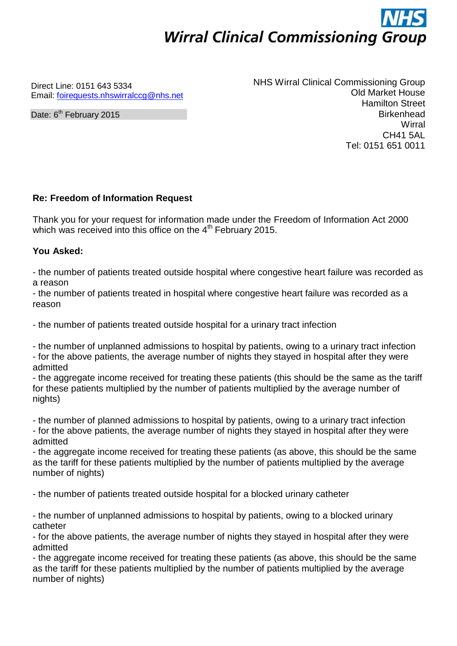# **Wirral Clinical Commissioning Group**

Direct Line: 0151 643 5334 Email: [foirequests.nhswirralccg@nhs.net](mailto:foirequests.nhswirralccg@nhs.net)

Date: 6<sup>th</sup> February 2015

NHS Wirral Clinical Commissioning Group Old Market House Hamilton Street **Birkenhead Wirral** CH41 5AL Tel: 0151 651 0011

## **Re: Freedom of Information Request**

Thank you for your request for information made under the Freedom of Information Act 2000 which was received into this office on the  $4<sup>th</sup>$  February 2015.

### **You Asked:**

- the number of patients treated outside hospital where congestive heart failure was recorded as a reason

- the number of patients treated in hospital where congestive heart failure was recorded as a reason

- the number of patients treated outside hospital for a urinary tract infection

- the number of unplanned admissions to hospital by patients, owing to a urinary tract infection - for the above patients, the average number of nights they stayed in hospital after they were admitted

- the aggregate income received for treating these patients (this should be the same as the tariff for these patients multiplied by the number of patients multiplied by the average number of nights)

- the number of planned admissions to hospital by patients, owing to a urinary tract infection - for the above patients, the average number of nights they stayed in hospital after they were admitted

- the aggregate income received for treating these patients (as above, this should be the same as the tariff for these patients multiplied by the number of patients multiplied by the average number of nights)

- the number of patients treated outside hospital for a blocked urinary catheter

- the number of unplanned admissions to hospital by patients, owing to a blocked urinary catheter

- for the above patients, the average number of nights they stayed in hospital after they were admitted

- the aggregate income received for treating these patients (as above, this should be the same as the tariff for these patients multiplied by the number of patients multiplied by the average number of nights)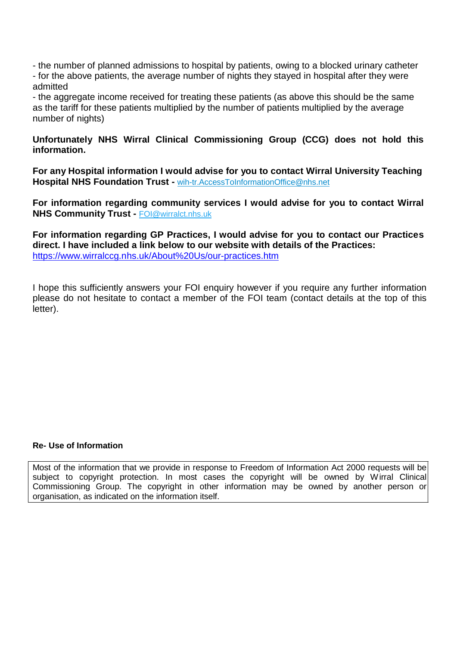- the number of planned admissions to hospital by patients, owing to a blocked urinary catheter

- for the above patients, the average number of nights they stayed in hospital after they were admitted

- the aggregate income received for treating these patients (as above this should be the same as the tariff for these patients multiplied by the number of patients multiplied by the average number of nights)

### **Unfortunately NHS Wirral Clinical Commissioning Group (CCG) does not hold this information.**

**For any Hospital information I would advise for you to contact Wirral University Teaching Hospital NHS Foundation Trust -** [wih-tr.AccessToInformationOffice@nhs.net](mailto:wih-tr.AccessToInformationOffice@nhs.net)

**For information regarding community services I would advise for you to contact Wirral NHS Community Trust -** [FOI@wirralct.nhs.uk](mailto:FOI@wirralct.nhs.uk)

**For information regarding GP Practices, I would advise for you to contact our Practices direct. I have included a link below to our website with details of the Practices:**  <https://www.wirralccg.nhs.uk/About%20Us/our-practices.htm>

I hope this sufficiently answers your FOI enquiry however if you require any further information please do not hesitate to contact a member of the FOI team (contact details at the top of this letter).

#### **Re- Use of Information**

Most of the information that we provide in response to Freedom of Information Act 2000 requests will be subject to copyright protection. In most cases the copyright will be owned by Wirral Clinical Commissioning Group. The copyright in other information may be owned by another person or organisation, as indicated on the information itself.